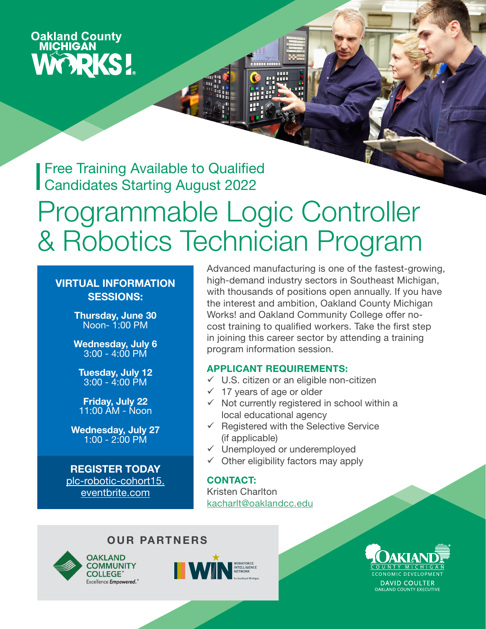# **Oakland County<br>MICHIGAN WORKS!**

Free Training Available to Qualified Candidates Starting August 2022

# Programmable Logic Controller & Robotics Technician Program

#### VIRTUAL INFORMATION SESSIONS:

Thursday, June 30 Noon- 1:00 PM

Wednesday, July 6 3:00 - 4:00 PM

Tuesday, July 12  $3:00 - 4:00$  PM

Friday, July 22 11:00 AM - Noon

Wednesday, July 27 1:00 - 2:00 PM

REGISTER TODAY [plc-robotic-cohort15.](https://www.eventbrite.com/e/plc-and-robotic-technician-info-session-cohort-15-tickets-328400955097) [eventbrite.com](https://www.eventbrite.com/e/plc-and-robotic-technician-info-session-cohort-15-tickets-328400955097)

Advanced manufacturing is one of the fastest-growing, high-demand industry sectors in Southeast Michigan, with thousands of positions open annually. If you have the interest and ambition, Oakland County Michigan Works! and Oakland Community College offer nocost training to qualified workers. Take the first step in joining this career sector by attending a training program information session.

#### APPLICANT REQUIREMENTS:

- $\checkmark$  U.S. citizen or an eligible non-citizen
- $\checkmark$  17 years of age or older
- $\checkmark$  Not currently registered in school within a local educational agency
- $\checkmark$  Registered with the Selective Service (if applicable)
- Unemployed or underemployed
- $\checkmark$  Other eligibility factors may apply

#### CONTACT:

Kristen Charlton [kacharlt@oaklandcc.edu](mailto:kacharlt%40oaklandcc.edu?subject=)

#### OUR PARTNERS